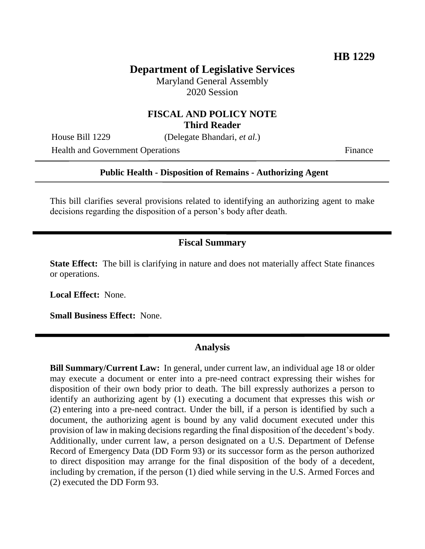## **Department of Legislative Services**

Maryland General Assembly 2020 Session

## **FISCAL AND POLICY NOTE Third Reader**

House Bill 1229 (Delegate Bhandari, *et al.*)

Health and Government Operations Finance

#### **Public Health - Disposition of Remains - Authorizing Agent**

This bill clarifies several provisions related to identifying an authorizing agent to make decisions regarding the disposition of a person's body after death.

### **Fiscal Summary**

**State Effect:** The bill is clarifying in nature and does not materially affect State finances or operations.

**Local Effect:** None.

**Small Business Effect:** None.

#### **Analysis**

**Bill Summary/Current Law:** In general, under current law, an individual age 18 or older may execute a document or enter into a pre-need contract expressing their wishes for disposition of their own body prior to death. The bill expressly authorizes a person to identify an authorizing agent by (1) executing a document that expresses this wish *or* (2) entering into a pre-need contract. Under the bill, if a person is identified by such a document, the authorizing agent is bound by any valid document executed under this provision of law in making decisions regarding the final disposition of the decedent's body. Additionally, under current law, a person designated on a U.S. Department of Defense Record of Emergency Data (DD Form 93) or its successor form as the person authorized to direct disposition may arrange for the final disposition of the body of a decedent, including by cremation, if the person (1) died while serving in the U.S. Armed Forces and (2) executed the DD Form 93.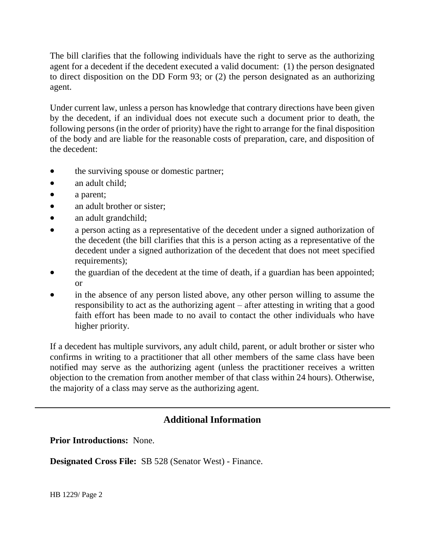The bill clarifies that the following individuals have the right to serve as the authorizing agent for a decedent if the decedent executed a valid document: (1) the person designated to direct disposition on the DD Form 93; or (2) the person designated as an authorizing agent.

Under current law, unless a person has knowledge that contrary directions have been given by the decedent, if an individual does not execute such a document prior to death, the following persons (in the order of priority) have the right to arrange for the final disposition of the body and are liable for the reasonable costs of preparation, care, and disposition of the decedent:

- the surviving spouse or domestic partner;
- an adult child;
- a parent;
- an adult brother or sister;
- an adult grandchild;
- a person acting as a representative of the decedent under a signed authorization of the decedent (the bill clarifies that this is a person acting as a representative of the decedent under a signed authorization of the decedent that does not meet specified requirements);
- the guardian of the decedent at the time of death, if a guardian has been appointed; or
- in the absence of any person listed above, any other person willing to assume the responsibility to act as the authorizing agent – after attesting in writing that a good faith effort has been made to no avail to contact the other individuals who have higher priority.

If a decedent has multiple survivors, any adult child, parent, or adult brother or sister who confirms in writing to a practitioner that all other members of the same class have been notified may serve as the authorizing agent (unless the practitioner receives a written objection to the cremation from another member of that class within 24 hours). Otherwise, the majority of a class may serve as the authorizing agent.

# **Additional Information**

**Prior Introductions:** None.

**Designated Cross File:** SB 528 (Senator West) - Finance.